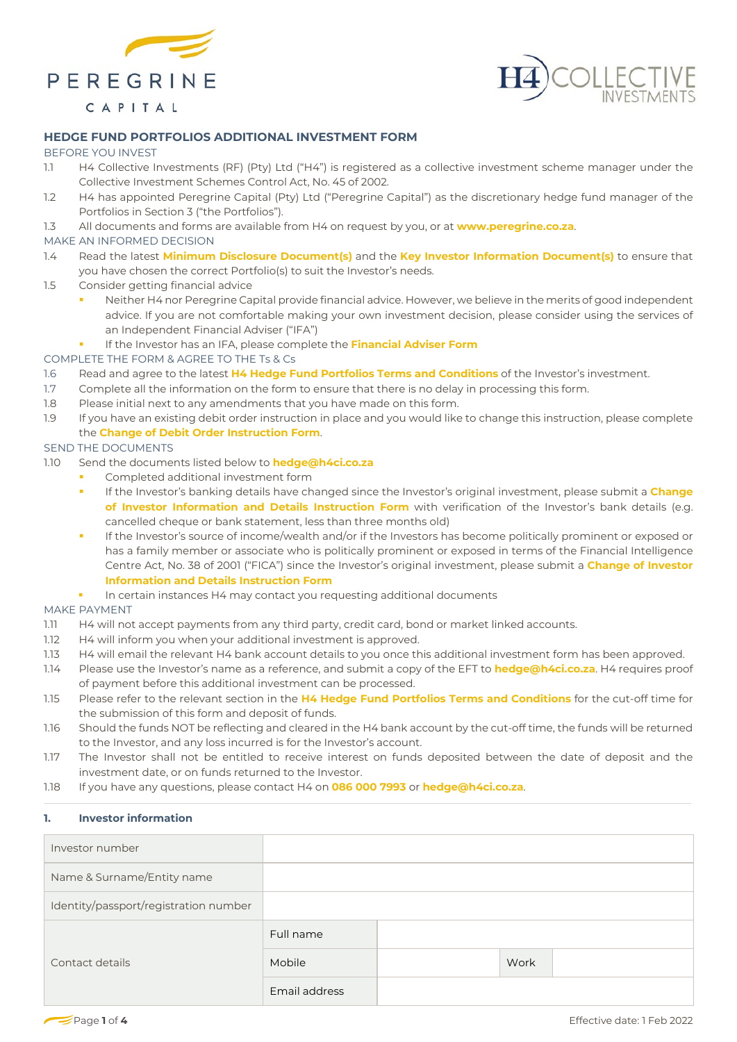





# **HEDGE FUND PORTFOLIOS ADDITIONAL INVESTMENT FORM**

## BEFORE YOU INVEST

- 1.1 H4 Collective Investments (RF) (Pty) Ltd ("H4") is registered as a collective investment scheme manager under the Collective Investment Schemes Control Act, No. 45 of 2002.
- 1.2 H4 has appointed Peregrine Capital (Pty) Ltd ("Peregrine Capital") as the discretionary hedge fund manager of the Portfolios in Section [3](#page-1-0) ("the Portfolios").
- 1.3 All documents and forms are available from H4 on request by you, or at **www.peregrine.co.za**.

## MAKE AN INFORMED DECISION

- 1.4 Read the latest **Minimum Disclosure Document(s)** and the **Key Investor Information Document(s)** to ensure that you have chosen the correct Portfolio(s) to suit the Investor's needs.
- 1.5 Consider getting financial advice
	- Neither H4 nor Peregrine Capital provide financial advice. However, we believe in the merits of good independent advice. If you are not comfortable making your own investment decision, please consider using the services of an Independent Financial Adviser ("IFA")
	- **If the Investor has an IFA, please complete the Financial Adviser Form**
- COMPLETE THE FORM & AGREE TO THE Ts & Cs
- 1.6 Read and agree to the latest **H4 Hedge Fund Portfolios Terms and Conditions** of the Investor's investment.
- 1.7 Complete all the information on the form to ensure that there is no delay in processing this form.
- 1.8 Please initial next to any amendments that you have made on this form.
- 1.9 If you have an existing debit order instruction in place and you would like to change this instruction, please complete the **Change of Debit Order Instruction Form**.

## SEND THE DOCUMENTS

- 1.10 Send the documents listed below to **[hedge@h4ci.co.za](mailto:hedge@h4ci.co.za)**
	- Completed additional investment form
	- If the Investor's banking details have changed since the Investor's original investment, please submit a **Change of Investor Information and Details Instruction Form** with verification of the Investor's bank details (e.g. cancelled cheque or bank statement, less than three months old)
	- If the Investor's source of income/wealth and/or if the Investors has become politically prominent or exposed or has a family member or associate who is politically prominent or exposed in terms of the Financial Intelligence Centre Act, No. 38 of 2001 ("FICA") since the Investor's original investment, please submit a **Change of Investor Information and Details Instruction Form**
	- **In certain instances H4 may contact you requesting additional documents**

### MAKE PAYMENT

- 1.11 H4 will not accept payments from any third party, credit card, bond or market linked accounts.
- 1.12 H4 will inform you when your additional investment is approved.
- 1.13 H4 will email the relevant H4 bank account details to you once this additional investment form has been approved.
- 1.14 Please use the Investor's name as a reference, and submit a copy of the EFT to **[hedge@h4ci.co.za](mailto:hedge@h4ci.co.za)**. H4 requires proof of payment before this additional investment can be processed.
- 1.15 Please refer to the relevant section in the **H4 Hedge Fund Portfolios Terms and Conditions** for the cut-off time for the submission of this form and deposit of funds.
- 1.16 Should the funds NOT be reflecting and cleared in the H4 bank account by the cut-off time, the funds will be returned to the Investor, and any loss incurred is for the Investor's account.
- 1.17 The Investor shall not be entitled to receive interest on funds deposited between the date of deposit and the investment date, or on funds returned to the Investor.
- 1.18 If you have any questions, please contact H4 on **086 000 7993** or **[hedge@h4ci.co.za](mailto:hedge@h4ci.co.za)**.

## **1. Investor information**

| Investor number                       |               |      |  |
|---------------------------------------|---------------|------|--|
| Name & Surname/Entity name            |               |      |  |
| Identity/passport/registration number |               |      |  |
|                                       | Full name     |      |  |
| Contact details                       | Mobile        | Work |  |
|                                       | Email address |      |  |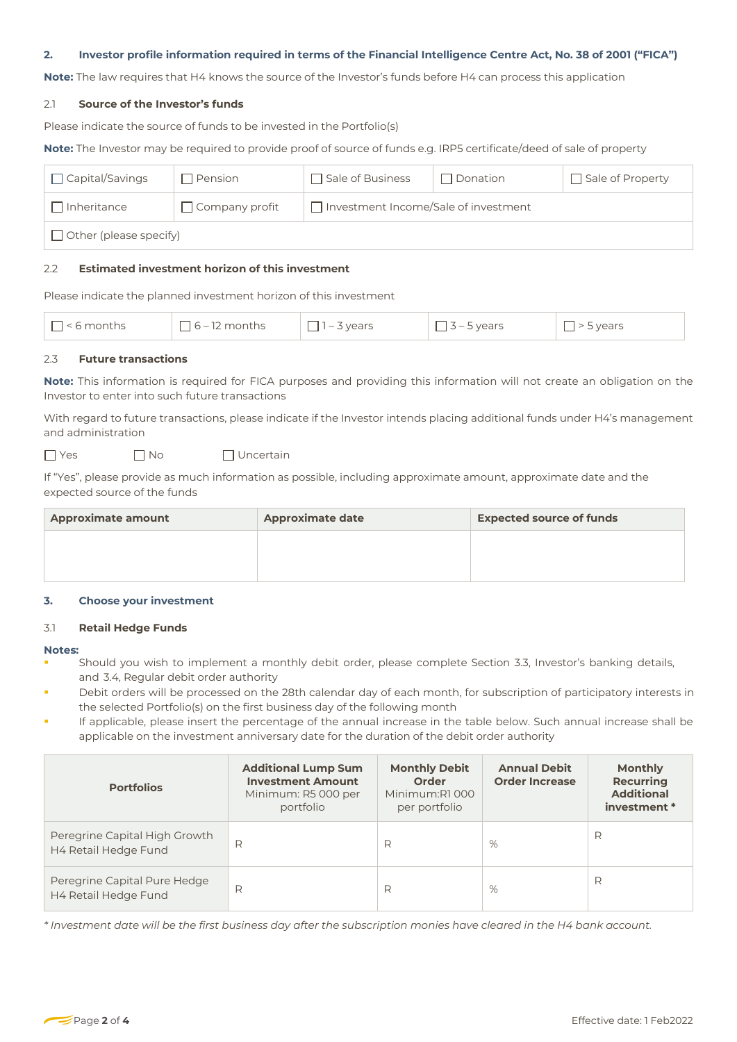### **2. Investor profile information required in terms of the Financial Intelligence Centre Act, No. 38 of 2001 ("FICA")**

**Note:** The law requires that H4 knows the source of the Investor's funds before H4 can process this application

### 2.1 **Source of the Investor's funds**

Please indicate the source of funds to be invested in the Portfolio(s)

**Note:** The Investor may be required to provide proof of source of funds e.g. IRP5 certificate/deed of sale of property

| $\Box$ Capital/Savings | Pension               | $\Box$ Sale of Business                     | Donation | Sale of Property |
|------------------------|-----------------------|---------------------------------------------|----------|------------------|
| Inheritance            | $\Box$ Company profit | $\Box$ Investment Income/Sale of investment |          |                  |
| Other (please specify) |                       |                                             |          |                  |

## 2.2 **Estimated investment horizon of this investment**

Please indicate the planned investment horizon of this investment

| $\overline{\phantom{a}}$<br>— | $\sim$<br>$\overline{\phantom{a}}$ | 10000<br>$\overline{\phantom{a}}$<br>$\overline{\phantom{a}}$ | $\sim$<br>ears | $\sim$<br>$\sim$ $\sim$ $\sim$ $\sim$ |
|-------------------------------|------------------------------------|---------------------------------------------------------------|----------------|---------------------------------------|
|-------------------------------|------------------------------------|---------------------------------------------------------------|----------------|---------------------------------------|

### 2.3 **Future transactions**

**Note:** This information is required for FICA purposes and providing this information will not create an obligation on the Investor to enter into such future transactions

With regard to future transactions, please indicate if the Investor intends placing additional funds under H4's management and administration

 $\n  $\Box$  Yes\n  $\Box$  No\n  $\Box$  Uncertain$ 

If "Yes", please provide as much information as possible, including approximate amount, approximate date and the expected source of the funds

| <b>Approximate amount</b> | <b>Approximate date</b> | <b>Expected source of funds</b> |
|---------------------------|-------------------------|---------------------------------|
|                           |                         |                                 |
|                           |                         |                                 |

### <span id="page-1-0"></span>**3. Choose your investment**

#### <span id="page-1-1"></span>3.1 **Retail Hedge Funds**

#### **Notes:**

- Should you wish to implement a monthly debit order, please complete Section [3.3](#page-2-0), Investor's banking details, [and](#page-2-1) 3.4, Regular debit order authority
- Debit orders will be processed on the 28th calendar day of each month, for subscription of participatory interests in the selected Portfolio(s) on the first business day of the following month
- If applicable, please insert the percentage of the annual increase in the table below. Such annual increase shall be applicable on the investment anniversary date for the duration of the debit order authority

| <b>Portfolios</b>                                     | <b>Additional Lump Sum</b><br><b>Investment Amount</b><br>Minimum: R5 000 per<br>portfolio | <b>Monthly Debit</b><br>Order<br>Minimum:R1000<br>per portfolio | <b>Annual Debit</b><br><b>Order Increase</b> | <b>Monthly</b><br><b>Recurring</b><br><b>Additional</b><br>investment * |
|-------------------------------------------------------|--------------------------------------------------------------------------------------------|-----------------------------------------------------------------|----------------------------------------------|-------------------------------------------------------------------------|
| Peregrine Capital High Growth<br>H4 Retail Hedge Fund | R                                                                                          | R                                                               | %                                            | R                                                                       |
| Peregrine Capital Pure Hedge<br>H4 Retail Hedge Fund  | R                                                                                          | R                                                               | %                                            | R                                                                       |

*\* Investment date will be the first business day after the subscription monies have cleared in the H4 bank account.*

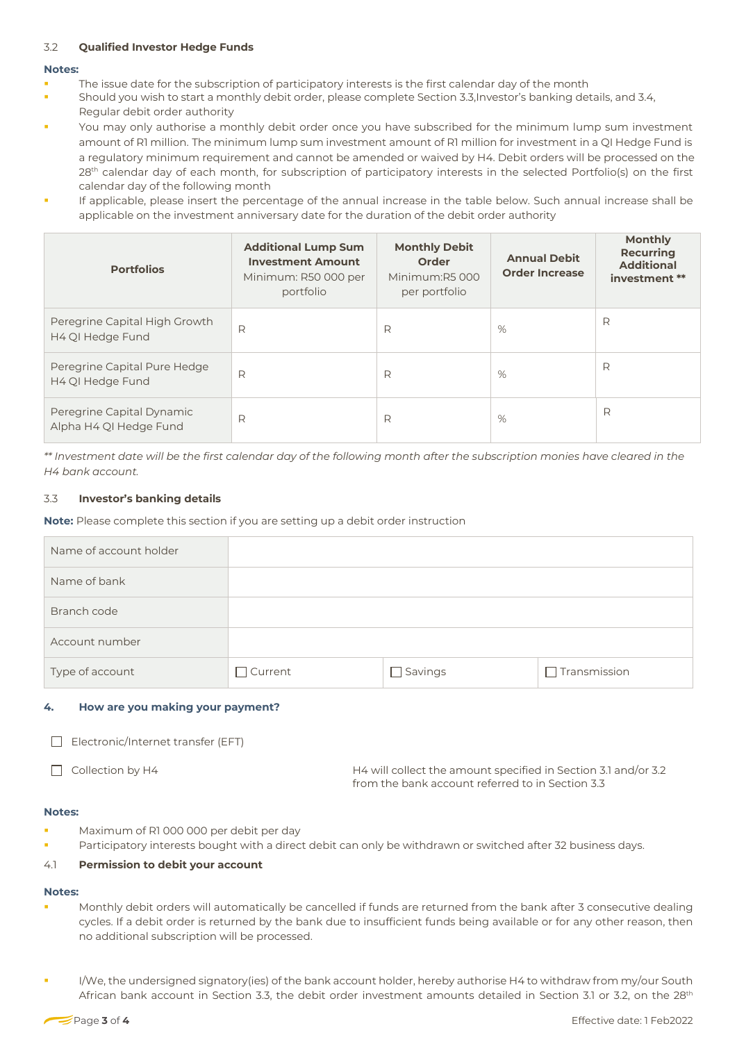# 3.2 **Qualified Investor Hedge Funds**

### **Notes:**

- The issue date for the subscription of participatory interests is the first calendar day of the month
- Should you wish to start a monthly debit order, please complete Section [3.3](#page-2-0),Investor's banking details, and [3.4,](#page-2-1)  Regular debit order authority
- You may only authorise a monthly debit order once you have subscribed for the minimum lump sum investment amount of R1 million. The minimum lump sum investment amount of R1 million for investment in a QI Hedge Fund is a regulatory minimum requirement and cannot be amended or waived by H4. Debit orders will be processed on the 28<sup>th</sup> calendar day of each month, for subscription of participatory interests in the selected Portfolio(s) on the first calendar day of the following month
- If applicable, please insert the percentage of the annual increase in the table below. Such annual increase shall be applicable on the investment anniversary date for the duration of the debit order authority

| <b>Portfolios</b>                                   | <b>Additional Lump Sum</b><br><b>Investment Amount</b><br>Minimum: R50 000 per | <b>Monthly Debit</b><br>Order<br>Minimum:R5 000 | <b>Annual Debit</b><br><b>Order Increase</b> | <b>Monthly</b><br><b>Recurring</b><br><b>Additional</b><br>investment ** |
|-----------------------------------------------------|--------------------------------------------------------------------------------|-------------------------------------------------|----------------------------------------------|--------------------------------------------------------------------------|
|                                                     | portfolio                                                                      | per portfolio                                   |                                              |                                                                          |
| Peregrine Capital High Growth<br>H4 QI Hedge Fund   | R                                                                              | R                                               | %                                            | R                                                                        |
| Peregrine Capital Pure Hedge<br>H4 QI Hedge Fund    | R                                                                              | R                                               | %                                            | R                                                                        |
| Peregrine Capital Dynamic<br>Alpha H4 QI Hedge Fund | R                                                                              | R                                               | %                                            | R                                                                        |

<span id="page-2-0"></span>*\*\* Investment date will be the first calendar day of the following month after the subscription monies have cleared in the H4 bank account.*

# 3.3 **Investor's banking details**

**Note:** Please complete this section if you are setting up a debit order instruction

| Name of account holder |                |                |                     |
|------------------------|----------------|----------------|---------------------|
| Name of bank           |                |                |                     |
| Branch code            |                |                |                     |
| Account number         |                |                |                     |
| Type of account        | $\Box$ Current | $\Box$ Savings | $\Box$ Transmission |

# <span id="page-2-1"></span>**4. How are you making your payment?**

| Electronic/Internet transfer (EFT) |
|------------------------------------|
|------------------------------------|

Collection by H4 **H4** will collect the amount specified in Sectio[n 3.1](#page-1-1) and/or 3.2 from the bank account referred to in Sectio[n 3.3](#page-2-0)

# **Notes:**

- Maximum of R1 000 000 per debit per day
- Participatory interests bought with a direct debit can only be withdrawn or switched after 32 business days.

# 4.1 **Permission to debit your account**

### **Notes:**

- Monthly debit orders will automatically be cancelled if funds are returned from the bank after 3 consecutive dealing cycles. If a debit order is returned by the bank due to insufficient funds being available or for any other reason, then no additional subscription will be processed.
- I/We, the undersigned signatory(ies) of the bank account holder, hereby authorise H4 to withdraw from my/our South African bank account in Section [3.3,](#page-2-0) the debit order investment amounts detailed in Section [3.1](#page-1-1) or [3.2](#page-1-0), on the 28<sup>th</sup>